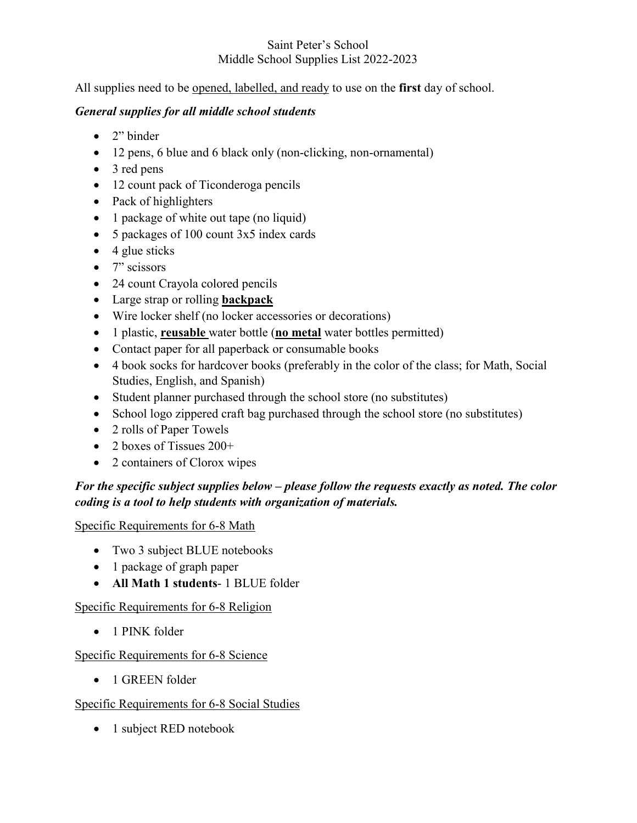#### Saint Peter's School Middle School Supplies List 2022-2023

All supplies need to be opened, labelled, and ready to use on the **first** day of school.

### *General supplies for all middle school students*

- 2" binder
- 12 pens, 6 blue and 6 black only (non-clicking, non-ornamental)
- 3 red pens
- 12 count pack of Ticonderoga pencils
- Pack of highlighters
- 1 package of white out tape (no liquid)
- 5 packages of 100 count 3x5 index cards
- $\bullet$  4 glue sticks
- $\bullet$  7" scissors
- 24 count Crayola colored pencils
- Large strap or rolling **backpack**
- Wire locker shelf (no locker accessories or decorations)
- 1 plastic, **reusable** water bottle (**no metal** water bottles permitted)
- Contact paper for all paperback or consumable books
- 4 book socks for hardcover books (preferably in the color of the class; for Math, Social Studies, English, and Spanish)
- Student planner purchased through the school store (no substitutes)
- School logo zippered craft bag purchased through the school store (no substitutes)
- 2 rolls of Paper Towels
- 2 boxes of Tissues 200+
- 2 containers of Clorox wipes

## *For the specific subject supplies below – please follow the requests exactly as noted. The color coding is a tool to help students with organization of materials.*

#### Specific Requirements for 6-8 Math

- Two 3 subject BLUE notebooks
- 1 package of graph paper
- **All Math 1 students** 1 BLUE folder

#### Specific Requirements for 6-8 Religion

• 1 PINK folder

#### Specific Requirements for 6-8 Science

• 1 GREEN folder

#### Specific Requirements for 6-8 Social Studies

• 1 subject RED notebook